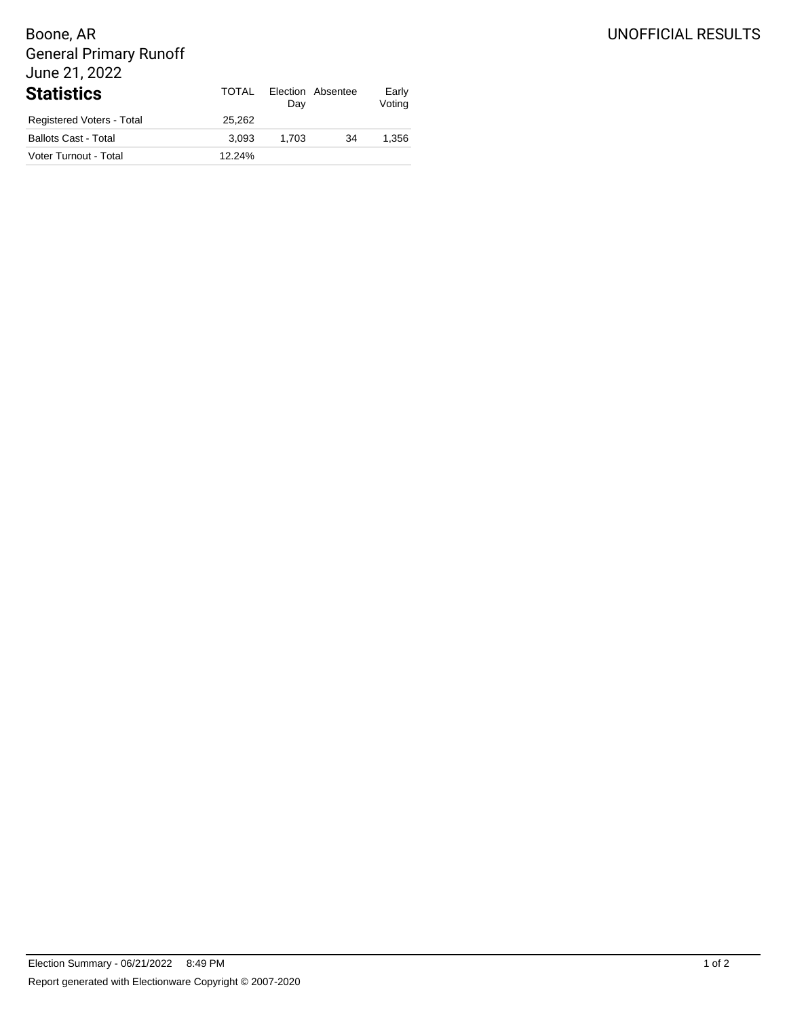## UNOFFICIAL RESULTS

# Boone, AR General Primary Runoff June 21, 2022

| <b>Statistics</b>           | TOTAL  | Dav   | Election Absentee | Early<br>Voting |
|-----------------------------|--------|-------|-------------------|-----------------|
| Registered Voters - Total   | 25.262 |       |                   |                 |
| <b>Ballots Cast - Total</b> | 3.093  | 1.703 | 34                | 1.356           |
| Voter Turnout - Total       | 12.24% |       |                   |                 |